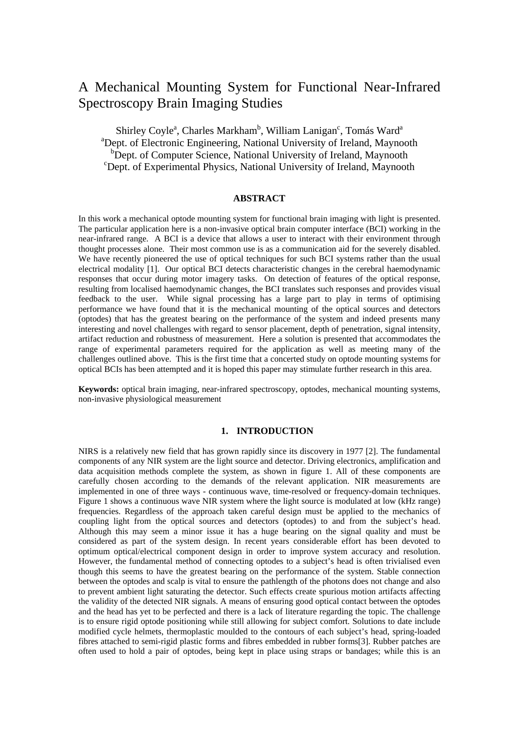# A Mechanical Mounting System for Functional Near-Infrared Spectroscopy Brain Imaging Studies

Shirley Coyle<sup>a</sup>, Charles Markham<sup>b</sup>, William Lanigan<sup>c</sup>, Tomás Ward<sup>a</sup> <sup>a</sup>Dept. of Electronic Engineering, National University of Ireland, Maynooth <sup>b</sup>Dept. of Computer Science, National University of Ireland, Maynooth <sup>c</sup>Dept. of Experimental Physics, National University of Ireland, Maynooth

# **ABSTRACT**

In this work a mechanical optode mounting system for functional brain imaging with light is presented. The particular application here is a non-invasive optical brain computer interface (BCI) working in the near-infrared range. A BCI is a device that allows a user to interact with their environment through thought processes alone. Their most common use is as a communication aid for the severely disabled. We have recently pioneered the use of optical techniques for such BCI systems rather than the usual electrical modality [1]. Our optical BCI detects characteristic changes in the cerebral haemodynamic responses that occur during motor imagery tasks. On detection of features of the optical response, resulting from localised haemodynamic changes, the BCI translates such responses and provides visual feedback to the user. While signal processing has a large part to play in terms of optimising performance we have found that it is the mechanical mounting of the optical sources and detectors (optodes) that has the greatest bearing on the performance of the system and indeed presents many interesting and novel challenges with regard to sensor placement, depth of penetration, signal intensity, artifact reduction and robustness of measurement. Here a solution is presented that accommodates the range of experimental parameters required for the application as well as meeting many of the challenges outlined above. This is the first time that a concerted study on optode mounting systems for optical BCIs has been attempted and it is hoped this paper may stimulate further research in this area.

**Keywords:** optical brain imaging, near-infrared spectroscopy, optodes, mechanical mounting systems, non-invasive physiological measurement

## **1. INTRODUCTION**

NIRS is a relatively new field that has grown rapidly since its discovery in 1977 [2]. The fundamental components of any NIR system are the light source and detector. Driving electronics, amplification and data acquisition methods complete the system, as shown in figure 1. All of these components are carefully chosen according to the demands of the relevant application. NIR measurements are implemented in one of three ways - continuous wave, time-resolved or frequency-domain techniques. Figure 1 shows a continuous wave NIR system where the light source is modulated at low (kHz range) frequencies. Regardless of the approach taken careful design must be applied to the mechanics of coupling light from the optical sources and detectors (optodes) to and from the subject's head. Although this may seem a minor issue it has a huge bearing on the signal quality and must be considered as part of the system design. In recent years considerable effort has been devoted to optimum optical/electrical component design in order to improve system accuracy and resolution. However, the fundamental method of connecting optodes to a subject's head is often trivialised even though this seems to have the greatest bearing on the performance of the system. Stable connection between the optodes and scalp is vital to ensure the pathlength of the photons does not change and also to prevent ambient light saturating the detector. Such effects create spurious motion artifacts affecting the validity of the detected NIR signals. A means of ensuring good optical contact between the optodes and the head has yet to be perfected and there is a lack of literature regarding the topic. The challenge is to ensure rigid optode positioning while still allowing for subject comfort. Solutions to date include modified cycle helmets, thermoplastic moulded to the contours of each subject's head, spring-loaded fibres attached to semi-rigid plastic forms and fibres embedded in rubber forms[3]. Rubber patches are often used to hold a pair of optodes, being kept in place using straps or bandages; while this is an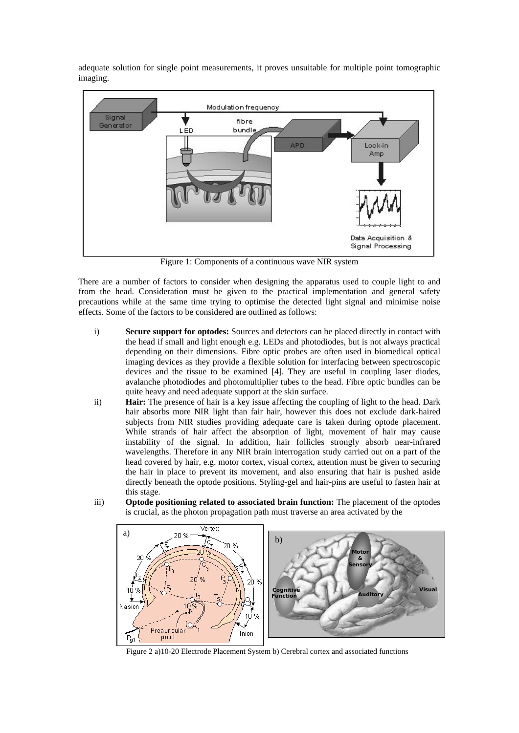adequate solution for single point measurements, it proves unsuitable for multiple point tomographic imaging.



Figure 1: Components of a continuous wave NIR system

There are a number of factors to consider when designing the apparatus used to couple light to and from the head. Consideration must be given to the practical implementation and general safety precautions while at the same time trying to optimise the detected light signal and minimise noise effects. Some of the factors to be considered are outlined as follows:

- i) **Secure support for optodes:** Sources and detectors can be placed directly in contact with the head if small and light enough e.g. LEDs and photodiodes, but is not always practical depending on their dimensions. Fibre optic probes are often used in biomedical optical imaging devices as they provide a flexible solution for interfacing between spectroscopic devices and the tissue to be examined [4]. They are useful in coupling laser diodes, avalanche photodiodes and photomultiplier tubes to the head. Fibre optic bundles can be quite heavy and need adequate support at the skin surface.
- ii) **Hair:** The presence of hair is a key issue affecting the coupling of light to the head. Dark hair absorbs more NIR light than fair hair, however this does not exclude dark-haired subjects from NIR studies providing adequate care is taken during optode placement. While strands of hair affect the absorption of light, movement of hair may cause instability of the signal. In addition, hair follicles strongly absorb near-infrared wavelengths. Therefore in any NIR brain interrogation study carried out on a part of the head covered by hair, e.g. motor cortex, visual cortex, attention must be given to securing the hair in place to prevent its movement, and also ensuring that hair is pushed aside directly beneath the optode positions. Styling-gel and hair-pins are useful to fasten hair at this stage.
- iii) **Optode positioning related to associated brain function:** The placement of the optodes is crucial, as the photon propagation path must traverse an area activated by the



Figure 2 a)10-20 Electrode Placement System b) Cerebral cortex and associated functions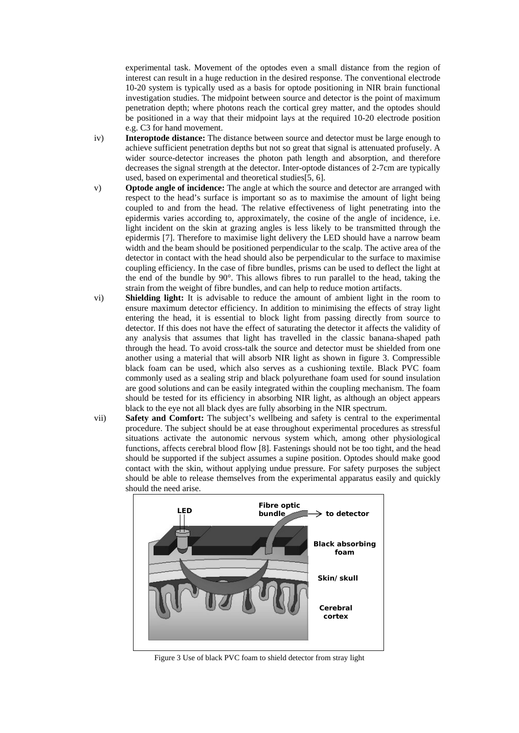experimental task. Movement of the optodes even a small distance from the region of interest can result in a huge reduction in the desired response. The conventional electrode 10-20 system is typically used as a basis for optode positioning in NIR brain functional investigation studies. The midpoint between source and detector is the point of maximum penetration depth; where photons reach the cortical grey matter, and the optodes should be positioned in a way that their midpoint lays at the required 10-20 electrode position e.g. C3 for hand movement.

- iv) **Interoptode distance:** The distance between source and detector must be large enough to achieve sufficient penetration depths but not so great that signal is attenuated profusely. A wider source-detector increases the photon path length and absorption, and therefore decreases the signal strength at the detector. Inter-optode distances of 2-7cm are typically used, based on experimental and theoretical studies[5, 6].
- v) **Optode angle of incidence:** The angle at which the source and detector are arranged with respect to the head's surface is important so as to maximise the amount of light being coupled to and from the head. The relative effectiveness of light penetrating into the epidermis varies according to, approximately, the cosine of the angle of incidence, i.e. light incident on the skin at grazing angles is less likely to be transmitted through the epidermis [7]. Therefore to maximise light delivery the LED should have a narrow beam width and the beam should be positioned perpendicular to the scalp. The active area of the detector in contact with the head should also be perpendicular to the surface to maximise coupling efficiency. In the case of fibre bundles, prisms can be used to deflect the light at the end of the bundle by 90°. This allows fibres to run parallel to the head, taking the strain from the weight of fibre bundles, and can help to reduce motion artifacts.
- vi) **Shielding light:** It is advisable to reduce the amount of ambient light in the room to ensure maximum detector efficiency. In addition to minimising the effects of stray light entering the head, it is essential to block light from passing directly from source to detector. If this does not have the effect of saturating the detector it affects the validity of any analysis that assumes that light has travelled in the classic banana-shaped path through the head. To avoid cross-talk the source and detector must be shielded from one another using a material that will absorb NIR light as shown in figure 3. Compressible black foam can be used, which also serves as a cushioning textile. Black PVC foam commonly used as a sealing strip and black polyurethane foam used for sound insulation are good solutions and can be easily integrated within the coupling mechanism. The foam should be tested for its efficiency in absorbing NIR light, as although an object appears black to the eye not all black dyes are fully absorbing in the NIR spectrum.
- vii) **Safety and Comfort:** The subject's wellbeing and safety is central to the experimental procedure. The subject should be at ease throughout experimental procedures as stressful situations activate the autonomic nervous system which, among other physiological functions, affects cerebral blood flow [8]. Fastenings should not be too tight, and the head should be supported if the subject assumes a supine position. Optodes should make good contact with the skin, without applying undue pressure. For safety purposes the subject should be able to release themselves from the experimental apparatus easily and quickly should the need arise.



Figure 3 Use of black PVC foam to shield detector from stray light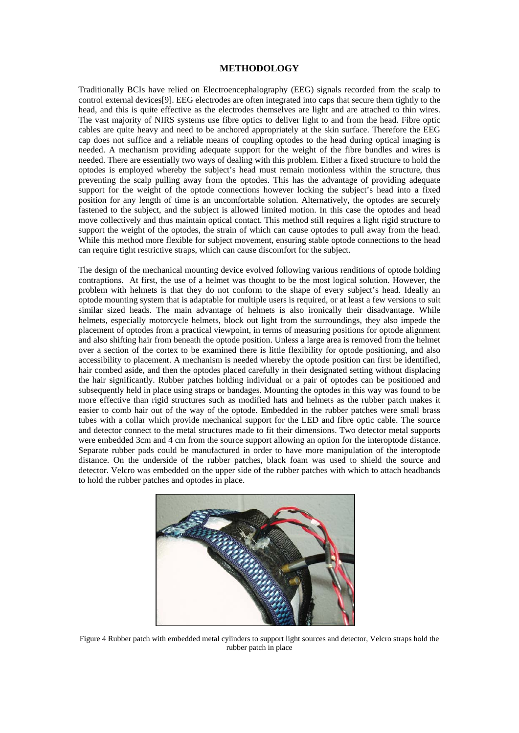## **METHODOLOGY**

Traditionally BCIs have relied on Electroencephalography (EEG) signals recorded from the scalp to control external devices[9]. EEG electrodes are often integrated into caps that secure them tightly to the head, and this is quite effective as the electrodes themselves are light and are attached to thin wires. The vast majority of NIRS systems use fibre optics to deliver light to and from the head. Fibre optic cables are quite heavy and need to be anchored appropriately at the skin surface. Therefore the EEG cap does not suffice and a reliable means of coupling optodes to the head during optical imaging is needed. A mechanism providing adequate support for the weight of the fibre bundles and wires is needed. There are essentially two ways of dealing with this problem. Either a fixed structure to hold the optodes is employed whereby the subject's head must remain motionless within the structure, thus preventing the scalp pulling away from the optodes. This has the advantage of providing adequate support for the weight of the optode connections however locking the subject's head into a fixed position for any length of time is an uncomfortable solution. Alternatively, the optodes are securely fastened to the subject, and the subject is allowed limited motion. In this case the optodes and head move collectively and thus maintain optical contact. This method still requires a light rigid structure to support the weight of the optodes, the strain of which can cause optodes to pull away from the head. While this method more flexible for subject movement, ensuring stable optode connections to the head can require tight restrictive straps, which can cause discomfort for the subject.

The design of the mechanical mounting device evolved following various renditions of optode holding contraptions. At first, the use of a helmet was thought to be the most logical solution. However, the problem with helmets is that they do not conform to the shape of every subject's head. Ideally an optode mounting system that is adaptable for multiple users is required, or at least a few versions to suit similar sized heads. The main advantage of helmets is also ironically their disadvantage. While helmets, especially motorcycle helmets, block out light from the surroundings, they also impede the placement of optodes from a practical viewpoint, in terms of measuring positions for optode alignment and also shifting hair from beneath the optode position. Unless a large area is removed from the helmet over a section of the cortex to be examined there is little flexibility for optode positioning, and also accessibility to placement. A mechanism is needed whereby the optode position can first be identified, hair combed aside, and then the optodes placed carefully in their designated setting without displacing the hair significantly. Rubber patches holding individual or a pair of optodes can be positioned and subsequently held in place using straps or bandages. Mounting the optodes in this way was found to be more effective than rigid structures such as modified hats and helmets as the rubber patch makes it easier to comb hair out of the way of the optode. Embedded in the rubber patches were small brass tubes with a collar which provide mechanical support for the LED and fibre optic cable. The source and detector connect to the metal structures made to fit their dimensions. Two detector metal supports were embedded 3cm and 4 cm from the source support allowing an option for the interoptode distance. Separate rubber pads could be manufactured in order to have more manipulation of the interoptode distance. On the underside of the rubber patches, black foam was used to shield the source and detector. Velcro was embedded on the upper side of the rubber patches with which to attach headbands to hold the rubber patches and optodes in place.



Figure 4 Rubber patch with embedded metal cylinders to support light sources and detector, Velcro straps hold the rubber patch in place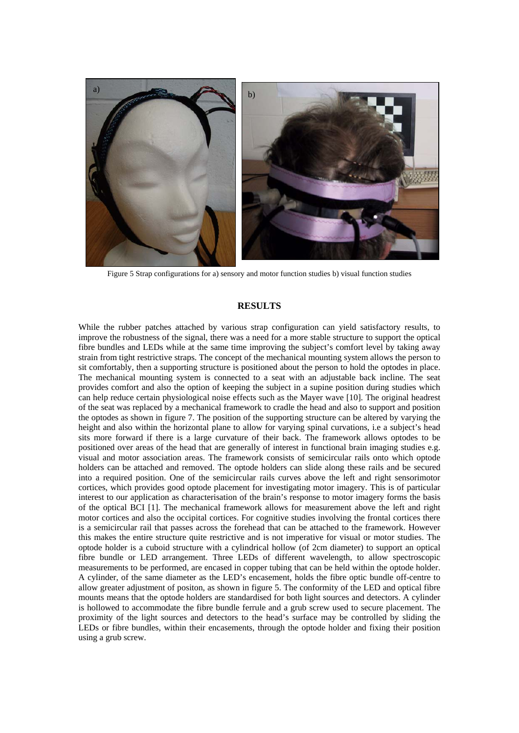

Figure 5 Strap configurations for a) sensory and motor function studies b) visual function studies

#### **RESULTS**

While the rubber patches attached by various strap configuration can yield satisfactory results, to improve the robustness of the signal, there was a need for a more stable structure to support the optical fibre bundles and LEDs while at the same time improving the subject's comfort level by taking away strain from tight restrictive straps. The concept of the mechanical mounting system allows the person to sit comfortably, then a supporting structure is positioned about the person to hold the optodes in place. The mechanical mounting system is connected to a seat with an adjustable back incline. The seat provides comfort and also the option of keeping the subject in a supine position during studies which can help reduce certain physiological noise effects such as the Mayer wave [10]. The original headrest of the seat was replaced by a mechanical framework to cradle the head and also to support and position the optodes as shown in figure 7. The position of the supporting structure can be altered by varying the height and also within the horizontal plane to allow for varying spinal curvations, i.e a subject's head sits more forward if there is a large curvature of their back. The framework allows optodes to be positioned over areas of the head that are generally of interest in functional brain imaging studies e.g. visual and motor association areas. The framework consists of semicircular rails onto which optode holders can be attached and removed. The optode holders can slide along these rails and be secured into a required position. One of the semicircular rails curves above the left and right sensorimotor cortices, which provides good optode placement for investigating motor imagery. This is of particular interest to our application as characterisation of the brain's response to motor imagery forms the basis of the optical BCI [1]. The mechanical framework allows for measurement above the left and right motor cortices and also the occipital cortices. For cognitive studies involving the frontal cortices there is a semicircular rail that passes across the forehead that can be attached to the framework. However this makes the entire structure quite restrictive and is not imperative for visual or motor studies. The optode holder is a cuboid structure with a cylindrical hollow (of 2cm diameter) to support an optical fibre bundle or LED arrangement. Three LEDs of different wavelength, to allow spectroscopic measurements to be performed, are encased in copper tubing that can be held within the optode holder. A cylinder, of the same diameter as the LED's encasement, holds the fibre optic bundle off-centre to allow greater adjustment of positon, as shown in figure 5. The conformity of the LED and optical fibre mounts means that the optode holders are standardised for both light sources and detectors. A cylinder is hollowed to accommodate the fibre bundle ferrule and a grub screw used to secure placement. The proximity of the light sources and detectors to the head's surface may be controlled by sliding the LEDs or fibre bundles, within their encasements, through the optode holder and fixing their position using a grub screw.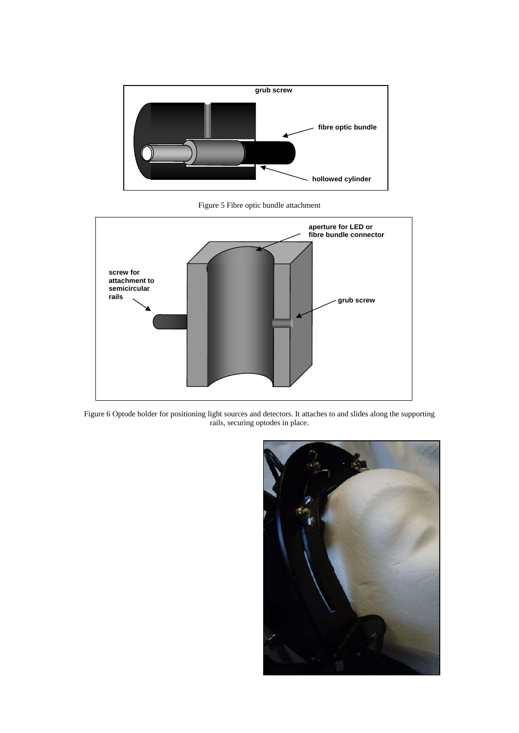

Figure 5 Fibre optic bundle attachment



Figure 6 Optode holder for positioning light sources and detectors. It attaches to and slides along the supporting rails, securing optodes in place.

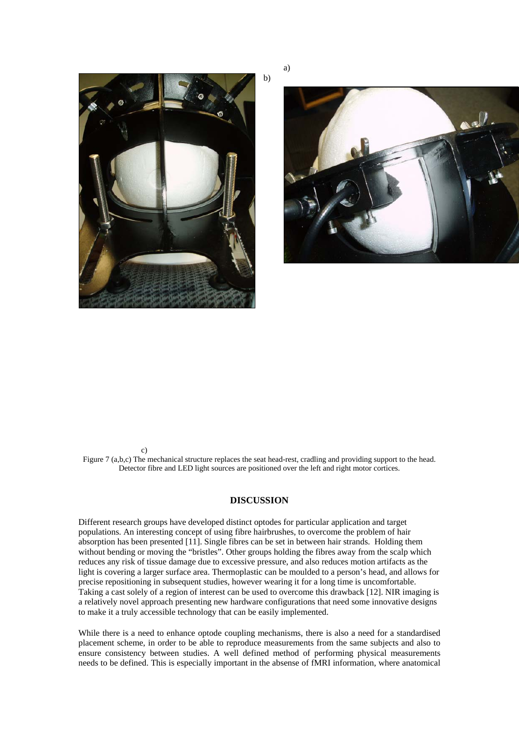

c)



Figure 7 (a,b,c) The mechanical structure replaces the seat head-rest, cradling and providing support to the head. Detector fibre and LED light sources are positioned over the left and right motor cortices.

# **DISCUSSION**

a relatively novel approach presenting new hardware configurations that need some innovative designs to make it a truly accessible technology that can be easily implemented. Different research groups have developed distinct optodes for particular application and target populations. An interesting concept of using fibre hairbrushes, to overcome the problem of hair absorption has been presented [11]. Single fibres can be set in between hair strands. Holding them without bending or moving the "bristles". Other groups holding the fibres away from the scalp which reduces any risk of tissue damage due to excessive pressure, and also reduces motion artifacts as the light is covering a larger surface area. Thermoplastic can be moulded to a person's head, and allows for precise repositioning in subsequent studies, however wearing it for a long time is uncomfortable. Taking a cast solely of a region of interest can be used to overcome this drawback [12]. NIR imaging is

While there is a need to enhance optode coupling mechanisms, there is also a need for a standardised placement scheme, in order to be able to reproduce measurements from the same subjects and also to ensure consistency between studies. A well defined method of performing physical measurements needs to be defined. This is especially important in the absense of fMRI information, where anatomical

a)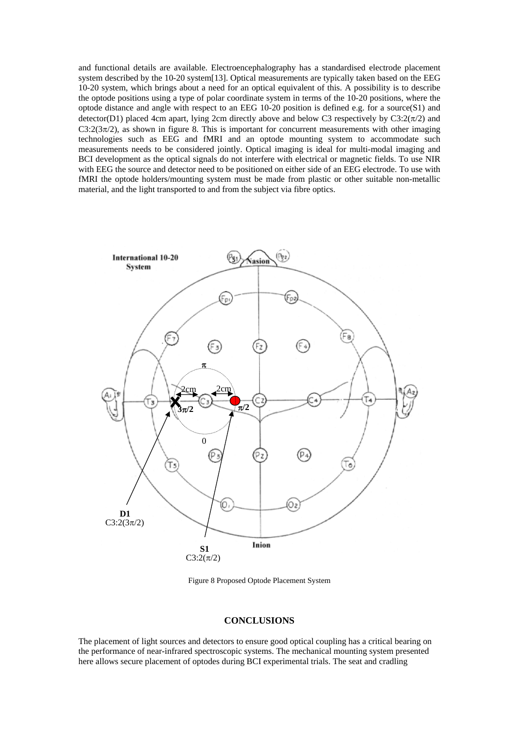and functional details are available. Electroencephalography has a standardised electrode placement system described by the 10-20 system[13]. Optical measurements are typically taken based on the EEG 10-20 system, which brings about a need for an optical equivalent of this. A possibility is to describe the optode positions using a type of polar coordinate system in terms of the 10-20 positions, where the optode distance and angle with respect to an EEG 10-20 position is defined e.g. for a source(S1) and detector(D1) placed 4cm apart, lying 2cm directly above and below C3 respectively by  $C3:2(\pi/2)$  and  $C3:2(3\pi/2)$ , as shown in figure 8. This is important for concurrent measurements with other imaging technologies such as EEG and fMRI and an optode mounting system to accommodate such measurements needs to be considered jointly. Optical imaging is ideal for multi-modal imaging and BCI development as the optical signals do not interfere with electrical or magnetic fields. To use NIR with EEG the source and detector need to be positioned on either side of an EEG electrode. To use with fMRI the optode holders/mounting system must be made from plastic or other suitable non-metallic material, and the light transported to and from the subject via fibre optics.



Figure 8 Proposed Optode Placement System

### **CONCLUSIONS**

The placement of light sources and detectors to ensure good optical coupling has a critical bearing on here allows secure placement of optodes during BCI experimental trials. The seat and cradling the performance of near-infrared spectroscopic systems. The mechanical mounting system presented